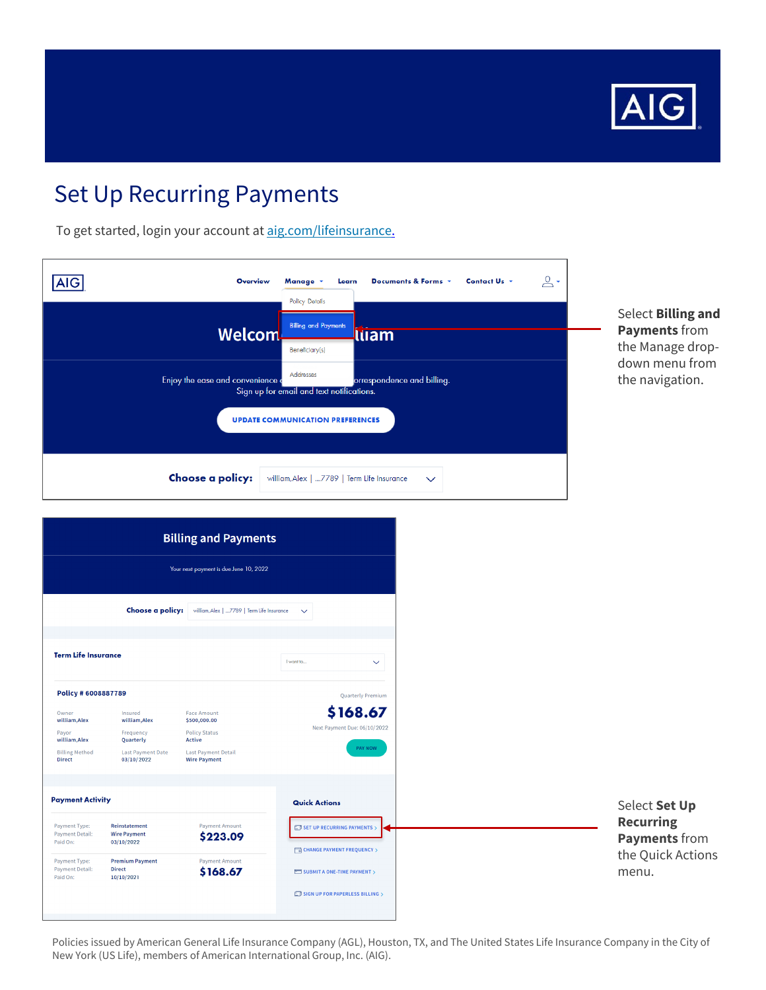

To get started, login your account at aig.com/lifeinsurance.

| <b>AIG</b>                        | 으 -<br>Contact Us +<br>Documents & Forms v<br><b>Overview</b><br>Manage v<br>Learn<br><b>Policy Details</b>                                       |
|-----------------------------------|---------------------------------------------------------------------------------------------------------------------------------------------------|
|                                   | <b>Billing and Payments</b><br>Welcom<br>luam                                                                                                     |
| Enjoy the ease and convenience of | Beneficiary(s)<br>Addresses<br>orrespondence and billing.<br>Sign up for email and text notifications.<br><b>UPDATE COMMUNICATION PREFERENCES</b> |
| Choose a policy:                  | william, Alex   7789   Term Life Insurance<br>$\checkmark$                                                                                        |

#### Select Billing and Payments from the Manage dropdown menu from the navigation.

| <b>Billing and Payments</b><br>Your next payment is due June 10, 2022                                                                                                                                                                                                                                                          |                                                                                              |                                                                                                                                                                     |                                                                                 |
|--------------------------------------------------------------------------------------------------------------------------------------------------------------------------------------------------------------------------------------------------------------------------------------------------------------------------------|----------------------------------------------------------------------------------------------|---------------------------------------------------------------------------------------------------------------------------------------------------------------------|---------------------------------------------------------------------------------|
|                                                                                                                                                                                                                                                                                                                                |                                                                                              | Choose a policy: villiam, Alex   7789   Term Life Insurance                                                                                                         | $\checkmark$                                                                    |
| <b>Term Life Insurance</b>                                                                                                                                                                                                                                                                                                     |                                                                                              |                                                                                                                                                                     | I want to<br>$\checkmark$                                                       |
| Policy # 6008887789<br>Owner<br>william, Alex<br>Payor<br>william, Alex<br><b>Billing Method</b><br><b>Direct</b>                                                                                                                                                                                                              | Insured<br>william, Alex<br>Frequency<br>Quarterly<br><b>Last Payment Date</b><br>03/10/2022 | <b>Face Amount</b><br>\$500,000.00<br><b>Policy Status</b><br>Active<br><b>Last Payment Detail</b><br><b>Wire Payment</b>                                           | <b>Quarterly Premium</b><br>\$168.67<br>Next Payment Due: 06/10/2022<br>PAY NOW |
| <b>Payment Activity</b><br><b>Payment Amount</b><br>Payment Type:<br>Reinstatement<br><b>Payment Detail:</b><br><b>Wire Payment</b><br>\$223.09<br>Paid On:<br>03/10/2022<br><b>Premium Payment</b><br><b>Payment Amount</b><br>Payment Type:<br><b>Payment Detail:</b><br><b>Direct</b><br>\$168.67<br>Paid On:<br>10/10/2021 |                                                                                              | <b>Quick Actions</b><br>$\Box$ SET UP RECURRING PAYMENTS $>$<br><b>CHANGE PAYMENT FREQUENCY</b> ><br>SUBMIT A ONE-TIME PAYMENT ><br>SIGN UP FOR PAPERLESS BILLING > |                                                                                 |

Policies issued by American General Life Insurance Company (AGL), Houston, TX, and The United States Life Insurance Company in the City of New York (US Life), members of American International Group, Inc. (AIG).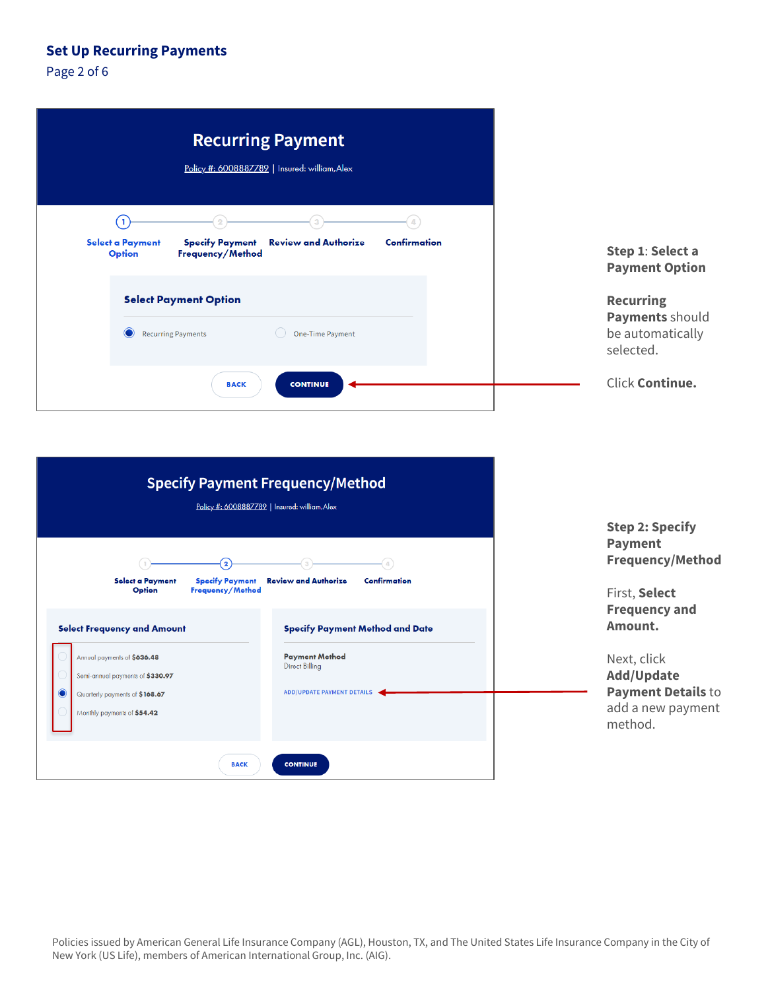Page 2 of 6

| <b>Recurring Payment</b><br>Policy #: 6008887789   Insured: william, Alex                                                           |                                                                      |
|-------------------------------------------------------------------------------------------------------------------------------------|----------------------------------------------------------------------|
| Ŧ<br><b>Confirmation</b><br><b>Review and Authorize</b><br>Select a Payment<br><b>Specify Payment</b><br>Option<br>Frequency/Method | Step 1: Select a<br><b>Payment Option</b>                            |
| <b>Select Payment Option</b><br>$\odot$<br><b>Recurring Payments</b><br>One-Time Payment                                            | <b>Recurring</b><br>Payments should<br>be automatically<br>selected. |
| <b>CONTINUE</b><br><b>BACK</b>                                                                                                      | Click Continue.                                                      |

| <b>Specify Payment Frequency/Method</b><br>Policy #: 6008887789   Insured: william, Alex                                                                                            |                                                                                                                        |                                                                                                                           |
|-------------------------------------------------------------------------------------------------------------------------------------------------------------------------------------|------------------------------------------------------------------------------------------------------------------------|---------------------------------------------------------------------------------------------------------------------------|
| $\overline{\mathbf{2}}$<br>(Д<br><b>Review and Authorize</b><br>Confirmation<br>Select a Payment<br><b>Specify Payment</b><br>Option<br>Frequency/Method                            |                                                                                                                        | <b>Step 2: Specify</b><br><b>Payment</b><br><b>Frequency/Method</b><br>First, Select                                      |
| <b>Select Frequency and Amount</b><br>Annual payments of \$636.48<br>Semi-annual payments of \$330.97<br>$\bullet$<br>Quarterly payments of \$168.67<br>Monthly payments of \$54.42 | <b>Specify Payment Method and Date</b><br><b>Payment Method</b><br>Direct Billing<br><b>ADD/UPDATE PAYMENT DETAILS</b> | <b>Frequency and</b><br>Amount.<br>Next, click<br>Add/Update<br><b>Payment Details to</b><br>add a new payment<br>method. |
| <b>BACK</b>                                                                                                                                                                         | <b>CONTINUE</b>                                                                                                        |                                                                                                                           |

Policies issued by American General Life Insurance Company (AGL), Houston, TX, and The United States Life Insurance Company in the City of<br>New York (US Life), members of American International Group, Inc. (AIG).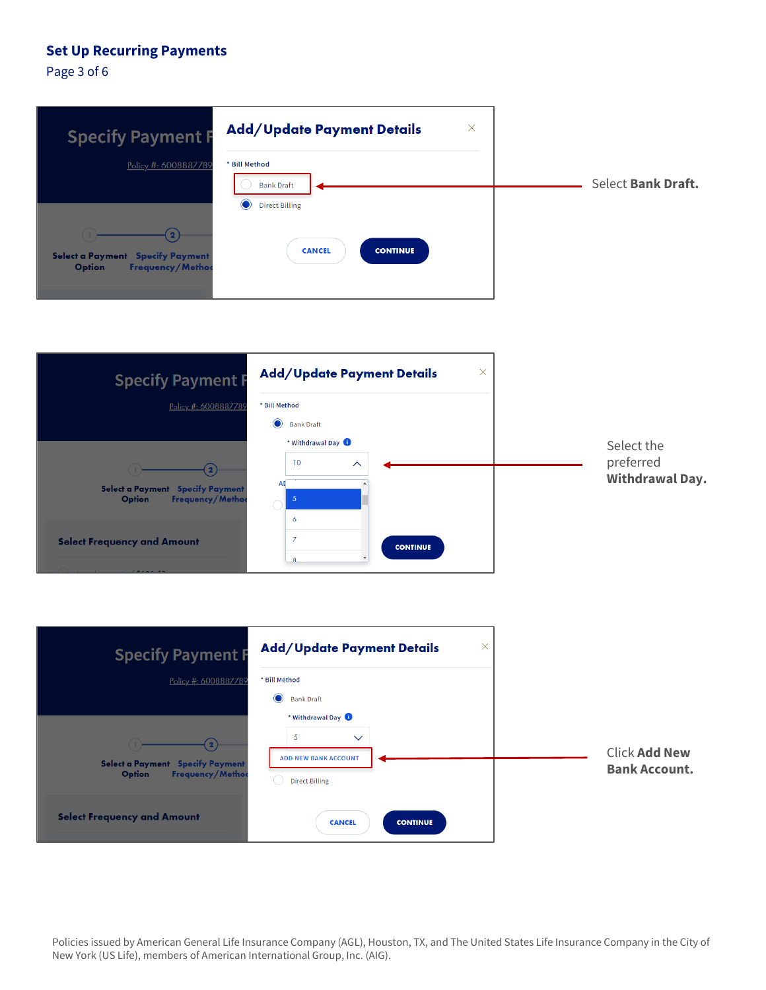Page 3 of 6

| <b>Specify Payment F</b>                                                     | $\times$<br><b>Add/Update Payment Details</b>                          |                    |
|------------------------------------------------------------------------------|------------------------------------------------------------------------|--------------------|
| Policy #: 6008887789                                                         | * Bill Method<br><b>Bank Draft</b>                                     | Select Bank Draft. |
| Select a Payment Specify Payment<br><b>Frequency/Method</b><br><b>Option</b> | $\bullet$<br><b>Direct Billing</b><br><b>CANCEL</b><br><b>CONTINUE</b> |                    |





 Policies issued by American General Life Insurance Company (AGL), Houston, TX, and The United States Life Insurance Company in the City of New York (US Life), members of American International Group, Inc. (AIG).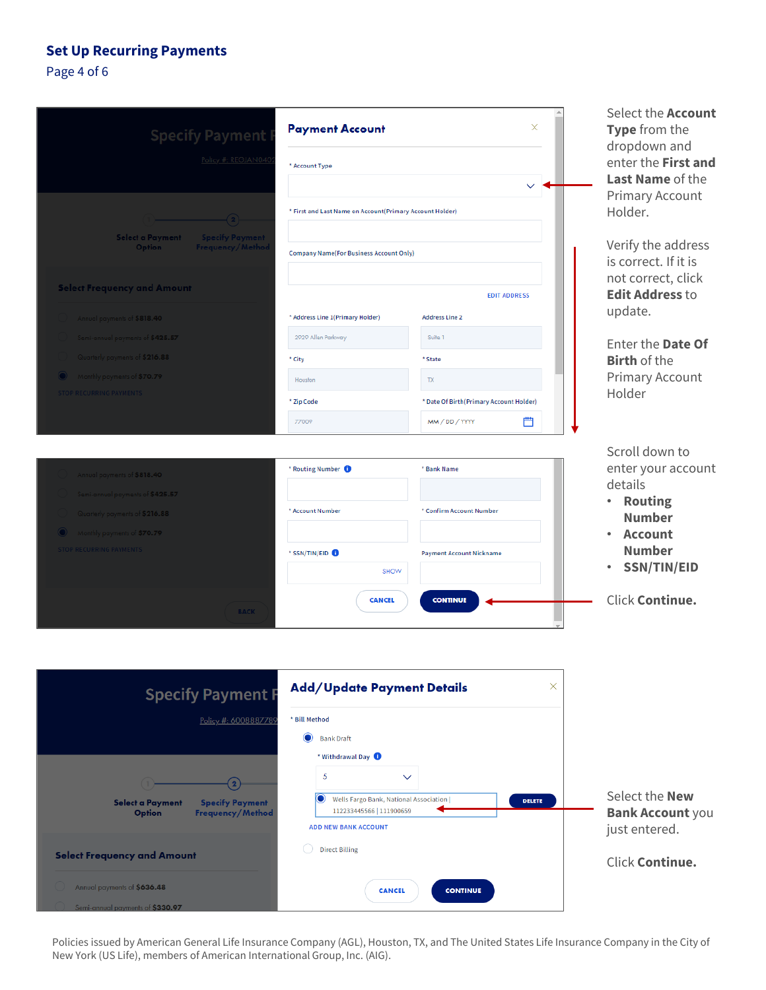## Page 4 of 6

| <b>Specify Payment</b>                                                   | <b>Payment Account</b>                                   | ×                                       | Select the <b>Account</b><br>Type from the<br>dropdown and |
|--------------------------------------------------------------------------|----------------------------------------------------------|-----------------------------------------|------------------------------------------------------------|
| Policy #: REGJAN040                                                      | * Account Type                                           |                                         | enter the First and                                        |
|                                                                          |                                                          |                                         | <b>Last Name of the</b>                                    |
| (2)                                                                      | * First and Last Name on Account(Primary Account Holder) |                                         | Primary Account<br>Holder.                                 |
| Select a Payment<br><b>Specify Payment</b><br>Option<br>Frequency/Method |                                                          |                                         | Verify the address                                         |
|                                                                          | <b>Company Name(For Business Account Only)</b>           |                                         | is correct. If it is                                       |
| <b>Select Frequency and Amount</b>                                       |                                                          | <b>EDIT ADDRESS</b>                     | not correct, click<br><b>Edit Address to</b>               |
| Annual payments of \$818.40                                              | * Address Line 1(Primary Holder)                         | <b>Address Line 2</b>                   | update.                                                    |
| Semi-annual payments of \$425.57                                         | 2929 Allen Parkway                                       | Suite 1                                 |                                                            |
| Quarterly payments of \$216.88                                           | * City                                                   | * State                                 | Enter the Date Of<br><b>Birth of the</b>                   |
| Monthly payments of \$70.79                                              | Houston                                                  | TX                                      | <b>Primary Account</b>                                     |
| <b>STOP RECURRING PAYMENTS</b>                                           | * Zip Code                                               | * Date Of Birth(Primary Account Holder) | Holder                                                     |
|                                                                          | 77009                                                    | 曲<br>MM/DD/YYYY                         |                                                            |
|                                                                          |                                                          |                                         | Scroll down to                                             |
| Annual payments of \$818.40                                              | * Routing Number <sup>1</sup>                            | * Bank Name                             | enter your account                                         |
| Semi-annual payments of \$425.57                                         |                                                          |                                         | details                                                    |
| Quarterly payments of \$216.88                                           | * Account Number                                         | * Confirm Account Number                | • Routing<br><b>Number</b>                                 |
| Monthly payments of \$70.79                                              |                                                          |                                         | <b>Account</b>                                             |
| <b>STOP RECURRING PAYMENTS</b>                                           | * SSN/TIN/EID <b>O</b>                                   | <b>Payment Account Nickname</b>         | <b>Number</b>                                              |
|                                                                          | SHOW                                                     |                                         | <b>SSN/TIN/EID</b><br>$\bullet$                            |
|                                                                          | <b>CANCEL</b>                                            | <b>CONTINUE</b>                         | Click Continue.                                            |
| <b>BACK</b>                                                              |                                                          |                                         |                                                            |

| Add/Update Payment Details<br>$\times$<br><b>Specify Payment F</b>              |                                                                                            |                                                  |
|---------------------------------------------------------------------------------|--------------------------------------------------------------------------------------------|--------------------------------------------------|
| Policy #: 6008887789                                                            | * Bill Method                                                                              |                                                  |
|                                                                                 | $\bullet$<br><b>Bank Draft</b>                                                             |                                                  |
|                                                                                 | * Withdrawal Day 1                                                                         |                                                  |
|                                                                                 | 5<br>$\checkmark$                                                                          |                                                  |
| <b>Specify Payment</b><br>Select a Payment<br>Frequency/Method<br><b>Option</b> | Wells Fargo Bank, National Association  <br>Ő<br><b>DELETE</b><br>112233445566   111900659 | Select the <b>New</b><br><b>Bank Account you</b> |
|                                                                                 | <b>ADD NEW BANK ACCOUNT</b>                                                                | just entered.                                    |
| <b>Select Frequency and Amount</b>                                              | <b>Direct Billing</b>                                                                      | <b>Click Continue.</b>                           |
| Annual payments of \$636.48<br>Semi-annual payments of \$330.97                 | <b>CANCEL</b><br><b>CONTINUE</b>                                                           |                                                  |

Policies issued by American General Life Insurance Company (AGL), Houston, TX, and The United States Life Insurance Company in the City of New York (US Life), members of American International Group, Inc. (AIG).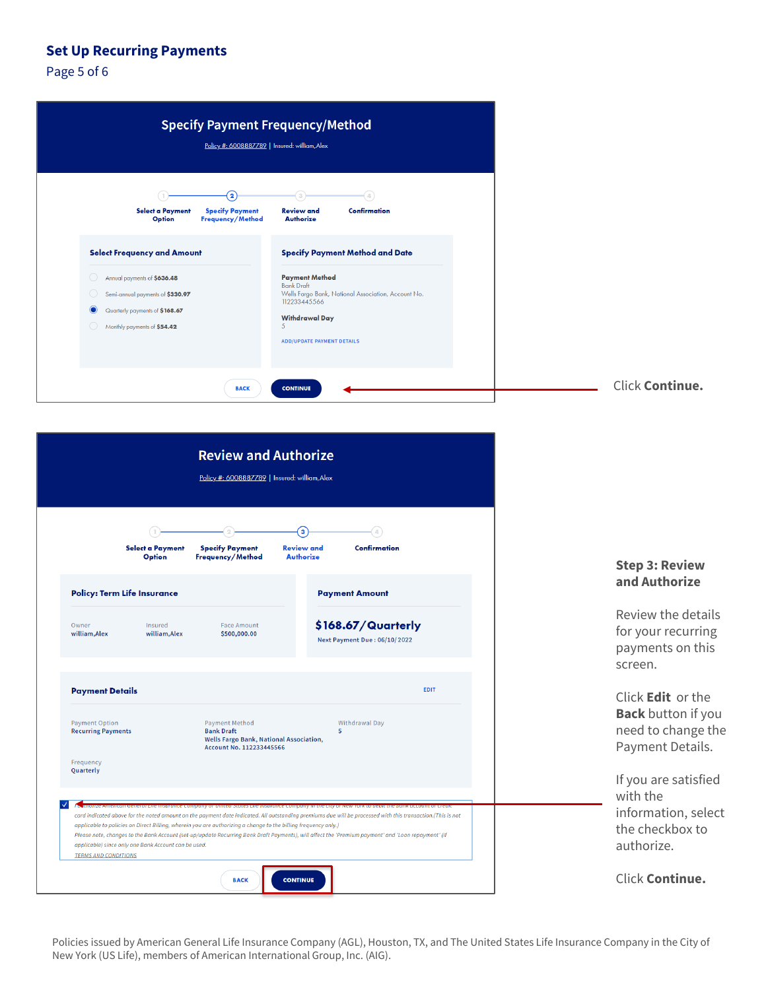Page 5 of 6

| <b>Specify Payment Frequency/Method</b><br>Policy #: 6008887789   Insured: william, Alex                                                                                                                                                                                                                                                                                                                                                      |                 |
|-----------------------------------------------------------------------------------------------------------------------------------------------------------------------------------------------------------------------------------------------------------------------------------------------------------------------------------------------------------------------------------------------------------------------------------------------|-----------------|
| $\mathbf{2}$<br><b>Specify Payment</b><br><b>Review and</b><br>Confirmation<br><b>Select a Payment</b><br>Frequency/Method<br>Authorize<br>Option                                                                                                                                                                                                                                                                                             |                 |
| <b>Select Frequency and Amount</b><br><b>Specify Payment Method and Date</b><br><b>Payment Method</b><br>Annual payments of \$636.48<br>O<br><b>Bank Draft</b><br>Wells Fargo Bank, National Association, Account No.<br>Semi-annual payments of \$330.97<br>O<br>112233445566<br>$\bullet$<br>Quarterly payments of \$168.67<br><b>Withdrawal Day</b><br>5<br>Monthly payments of \$54.42<br>$\bigcirc$<br><b>ADD/UPDATE PAYMENT DETAILS</b> |                 |
| <b>BACK</b><br><b>CONTINUE</b>                                                                                                                                                                                                                                                                                                                                                                                                                | Click Continue. |

| <b>Review and Authorize</b>                                                                                                                                                                                                                                                  |                                                                                                                   |                                                                                                                                                    |                                                                         |
|------------------------------------------------------------------------------------------------------------------------------------------------------------------------------------------------------------------------------------------------------------------------------|-------------------------------------------------------------------------------------------------------------------|----------------------------------------------------------------------------------------------------------------------------------------------------|-------------------------------------------------------------------------|
|                                                                                                                                                                                                                                                                              | Policy #: 6008887789   Insured: william, Alex                                                                     |                                                                                                                                                    |                                                                         |
|                                                                                                                                                                                                                                                                              |                                                                                                                   | jз                                                                                                                                                 |                                                                         |
| Select a Payment<br>Option                                                                                                                                                                                                                                                   | <b>Specify Payment</b><br>Frequency/Method                                                                        | <b>Confirmation</b><br><b>Review and</b><br><b>Authorize</b>                                                                                       | <b>Step 3: Review</b>                                                   |
| <b>Policy: Term Life Insurance</b>                                                                                                                                                                                                                                           |                                                                                                                   | <b>Payment Amount</b>                                                                                                                              | and Authorize                                                           |
| Owner<br>Insured<br>william, Alex<br>william, Alex                                                                                                                                                                                                                           | <b>Face Amount</b><br>\$500,000.00                                                                                | \$168.67/Quarterly<br><b>Next Payment Due: 06/10/2022</b>                                                                                          | Review the details<br>for your recurring<br>payments on this<br>screen. |
| <b>Payment Details</b>                                                                                                                                                                                                                                                       |                                                                                                                   | EDIT                                                                                                                                               | Click <b>Edit</b> or the<br><b>Back</b> button if you                   |
| <b>Payment Option</b><br><b>Recurring Payments</b>                                                                                                                                                                                                                           | <b>Payment Method</b><br><b>Bank Draft</b><br>Wells Fargo Bank, National Association,<br>Account No. 112233445566 | Withdrawal Day<br>5                                                                                                                                | need to change the<br>Payment Details.                                  |
| Frequency<br>Quarterly                                                                                                                                                                                                                                                       |                                                                                                                   |                                                                                                                                                    | If you are satisfied<br>with the                                        |
| card indicated above for the noted amount on the payment date indicated. All outstanding premiums due will be processed with this transaction.(This is not<br>applicable to policies on Direct Billing, wherein you are authorizing a change to the billing frequency only.) |                                                                                                                   |                                                                                                                                                    | information, select<br>the checkbox to                                  |
| applicable) since only one Bank Account can be used.<br><b>TERMS AND CONDITIONS</b>                                                                                                                                                                                          |                                                                                                                   | Please note, changes to the Bank Account (set-up/update Recurring Bank Draft Payments), will affect the 'Premium payment' and 'Loan repayment' (if | authorize.                                                              |
|                                                                                                                                                                                                                                                                              | <b>BACK</b>                                                                                                       | <b>CONTINUE</b>                                                                                                                                    | Click Continue.                                                         |

Policies issued by American General Life Insurance Company (AGL), Houston, TX, and The United States Life Insurance Company in the City of New York (US Life), members of American International Group, Inc. (AIG).